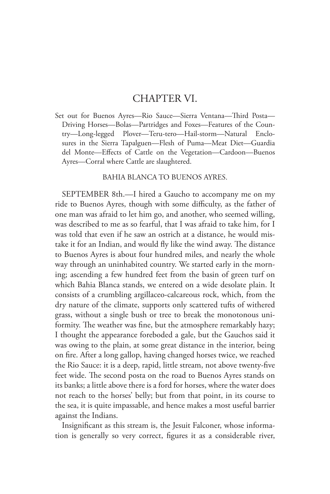## CHAPTER VI.

Set out for Buenos Ayres—Rio Sauce—Sierra Ventana—Third Posta— Driving Horses—Bolas—Partridges and Foxes—Features of the Country—Long-legged Plover—Teru-tero—Hail-storm—Natural Enclosures in the Sierra Tapalguen—Flesh of Puma—Meat Diet—Guardia del Monte—Effects of Cattle on the Vegetation—Cardoon—Buenos Ayres—Corral where Cattle are slaughtered.

## BAHIA BLANCA TO BUENOS AYRES.

SEPTEMBER 8th.—I hired a Gaucho to accompany me on my ride to Buenos Ayres, though with some difficulty, as the father of one man was afraid to let him go, and another, who seemed willing, was described to me as so fearful, that I was afraid to take him, for I was told that even if he saw an ostrich at a distance, he would mistake it for an Indian, and would fly like the wind away. The distance to Buenos Ayres is about four hundred miles, and nearly the whole way through an uninhabited country. We started early in the morning; ascending a few hundred feet from the basin of green turf on which Bahia Blanca stands, we entered on a wide desolate plain. It consists of a crumbling argillaceo-calcareous rock, which, from the dry nature of the climate, supports only scattered tufts of withered grass, without a single bush or tree to break the monotonous uniformity. The weather was fine, but the atmosphere remarkably hazy; I thought the appearance foreboded a gale, but the Gauchos said it was owing to the plain, at some great distance in the interior, being on fire. After a long gallop, having changed horses twice, we reached the Rio Sauce: it is a deep, rapid, little stream, not above twenty-five feet wide. The second posta on the road to Buenos Ayres stands on its banks; a little above there is a ford for horses, where the water does not reach to the horses' belly; but from that point, in its course to the sea, it is quite impassable, and hence makes a most useful barrier against the Indians.

Insignificant as this stream is, the Jesuit Falconer, whose information is generally so very correct, figures it as a considerable river,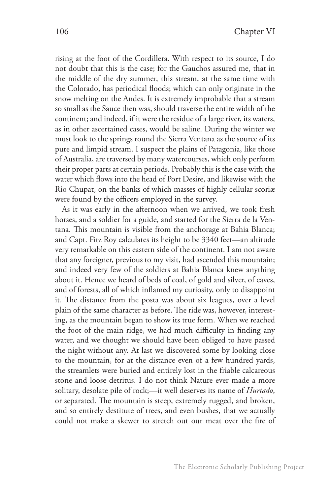rising at the foot of the Cordillera. With respect to its source, I do not doubt that this is the case; for the Gauchos assured me, that in the middle of the dry summer, this stream, at the same time with the Colorado, has periodical floods; which can only originate in the snow melting on the Andes. It is extremely improbable that a stream so small as the Sauce then was, should traverse the entire width of the continent; and indeed, if it were the residue of a large river, its waters, as in other ascertained cases, would be saline. During the winter we must look to the springs round the Sierra Ventana as the source of its pure and limpid stream. I suspect the plains of Patagonia, like those of Australia, are traversed by many watercourses, which only perform their proper parts at certain periods. Probably this is the case with the water which flows into the head of Port Desire, and likewise with the Rio Chupat, on the banks of which masses of highly cellular scoriæ were found by the officers employed in the survey.

As it was early in the afternoon when we arrived, we took fresh horses, and a soldier for a guide, and started for the Sierra de la Ventana. This mountain is visible from the anchorage at Bahia Blanca; and Capt. Fitz Roy calculates its height to be 3340 feet—an altitude very remarkable on this eastern side of the continent. I am not aware that any foreigner, previous to my visit, had ascended this mountain; and indeed very few of the soldiers at Bahia Blanca knew anything about it. Hence we heard of beds of coal, of gold and silver, of caves, and of forests, all of which inflamed my curiosity, only to disappoint it. The distance from the posta was about six leagues, over a level plain of the same character as before. The ride was, however, interesting, as the mountain began to show its true form. When we reached the foot of the main ridge, we had much difficulty in finding any water, and we thought we should have been obliged to have passed the night without any. At last we discovered some by looking close to the mountain, for at the distance even of a few hundred yards, the streamlets were buried and entirely lost in the friable calcareous stone and loose detritus. I do not think Nature ever made a more solitary, desolate pile of rock;—it well deserves its name of *Hurtado*, or separated. The mountain is steep, extremely rugged, and broken, and so entirely destitute of trees, and even bushes, that we actually could not make a skewer to stretch out our meat over the fire of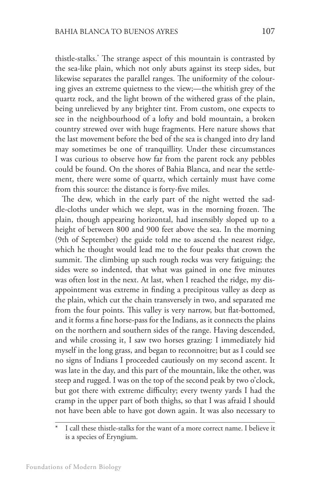thistle-stalks.\* The strange aspect of this mountain is contrasted by the sea-like plain, which not only abuts against its steep sides, but likewise separates the parallel ranges. The uniformity of the colouring gives an extreme quietness to the view;—the whitish grey of the quartz rock, and the light brown of the withered grass of the plain, being unrelieved by any brighter tint. From custom, one expects to see in the neighbourhood of a lofty and bold mountain, a broken country strewed over with huge fragments. Here nature shows that the last movement before the bed of the sea is changed into dry land may sometimes be one of tranquillity. Under these circumstances I was curious to observe how far from the parent rock any pebbles could be found. On the shores of Bahia Blanca, and near the settlement, there were some of quartz, which certainly must have come from this source: the distance is forty-five miles.

The dew, which in the early part of the night wetted the saddle-cloths under which we slept, was in the morning frozen. The plain, though appearing horizontal, had insensibly sloped up to a height of between 800 and 900 feet above the sea. In the morning (9th of September) the guide told me to ascend the nearest ridge, which he thought would lead me to the four peaks that crown the summit. The climbing up such rough rocks was very fatiguing; the sides were so indented, that what was gained in one five minutes was often lost in the next. At last, when I reached the ridge, my disappointment was extreme in finding a precipitous valley as deep as the plain, which cut the chain transversely in two, and separated me from the four points. This valley is very narrow, but flat-bottomed, and it forms a fine horse-pass for the Indians, as it connects the plains on the northern and southern sides of the range. Having descended, and while crossing it, I saw two horses grazing: I immediately hid myself in the long grass, and began to reconnoitre; but as I could see no signs of Indians I proceeded cautiously on my second ascent. It was late in the day, and this part of the mountain, like the other, was steep and rugged. I was on the top of the second peak by two o'clock, but got there with extreme difficulty; every twenty yards I had the cramp in the upper part of both thighs, so that I was afraid I should not have been able to have got down again. It was also necessary to

I call these thistle-stalks for the want of a more correct name. I believe it is a species of Eryngium.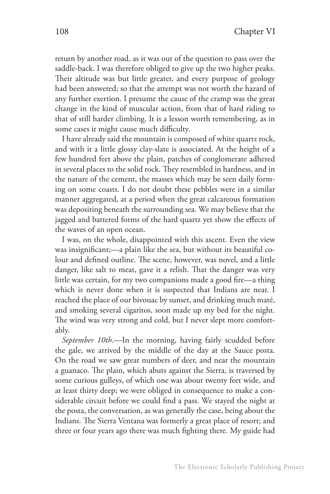return by another road, as it was out of the question to pass over the saddle-back. I was therefore obliged to give up the two higher peaks. Their altitude was but little greater, and every purpose of geology had been answered; so that the attempt was not worth the hazard of any further exertion. I presume the cause of the cramp was the great change in the kind of muscular action, from that of hard riding to that of still harder climbing. It is a lesson worth remembering, as in some cases it might cause much difficulty.

I have already said the mountain is composed of white quartz rock, and with it a little glossy clay-slate is associated. At the height of a few hundred feet above the plain, patches of conglomerate adhered in several places to the solid rock. They resembled in hardness, and in the nature of the cement, the masses which may be seen daily forming on some coasts. I do not doubt these pebbles were in a similar manner aggregated, at a period when the great calcareous formation was depositing beneath the surrounding sea. We may believe that the jagged and battered forms of the hard quartz yet show the effects of the waves of an open ocean.

I was, on the whole, disappointed with this ascent. Even the view was insignificant;—a plain like the sea, but without its beautiful colour and defined outline. The scene, however, was novel, and a little danger, like salt to meat, gave it a relish. That the danger was very little was certain, for my two companions made a good fire—a thing which is never done when it is suspected that Indians are near. I reached the place of our bivouac by sunset, and drinking much maté, and smoking several cigaritos, soon made up my bed for the night. The wind was very strong and cold, but I never slept more comfortably.

*September 10th*.—In the morning, having fairly scudded before the gale, we arrived by the middle of the day at the Sauce posta. On the road we saw great numbers of deer, and near the mountain a guanaco. The plain, which abuts against the Sierra, is traversed by some curious gulleys, of which one was about twenty feet wide, and at least thirty deep; we were obliged in consequence to make a considerable circuit before we could find a pass. We stayed the night at the posta, the conversation, as was generally the case, being about the Indians. The Sierra Ventana was formerly a great place of resort; and three or four years ago there was much fighting there. My guide had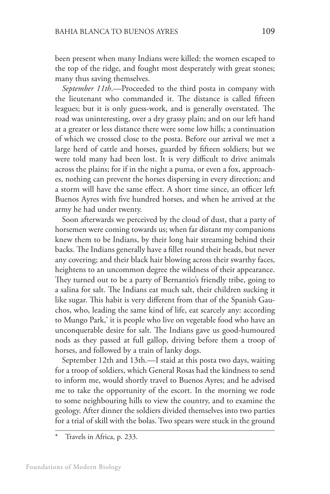been present when many Indians were killed: the women escaped to the top of the ridge, and fought most desperately with great stones; many thus saving themselves.

*September 11th*.—Proceeded to the third posta in company with the lieutenant who commanded it. The distance is called fifteen leagues; but it is only guess-work, and is generally overstated. The road was uninteresting, over a dry grassy plain; and on our left hand at a greater or less distance there were some low hills; a continuation of which we crossed close to the posta. Before our arrival we met a large herd of cattle and horses, guarded by fifteen soldiers; but we were told many had been lost. It is very difficult to drive animals across the plains; for if in the night a puma, or even a fox, approaches, nothing can prevent the horses dispersing in every direction; and a storm will have the same effect. A short time since, an officer left Buenos Ayres with five hundred horses, and when he arrived at the army he had under twenty.

Soon afterwards we perceived by the cloud of dust, that a party of horsemen were coming towards us; when far distant my companions knew them to be Indians, by their long hair streaming behind their backs. The Indians generally have a fillet round their heads, but never any covering; and their black hair blowing across their swarthy faces, heightens to an uncommon degree the wildness of their appearance. They turned out to be a party of Bernantio's friendly tribe, going to a salina for salt. The Indians eat much salt, their children sucking it like sugar. This habit is very different from that of the Spanish Gauchos, who, leading the same kind of life, eat scarcely any: according to Mungo Park,\* it is people who live on vegetable food who have an unconquerable desire for salt. The Indians gave us good-humoured nods as they passed at full gallop, driving before them a troop of horses, and followed by a train of lanky dogs.

September 12th and 13th.—I staid at this posta two days, waiting for a troop of soldiers, which General Rosas had the kindness to send to inform me, would shortly travel to Buenos Ayres; and he advised me to take the opportunity of the escort. In the morning we rode to some neighbouring hills to view the country, and to examine the geology. After dinner the soldiers divided themselves into two parties for a trial of skill with the bolas. Two spears were stuck in the ground

Travels in Africa, p. 233.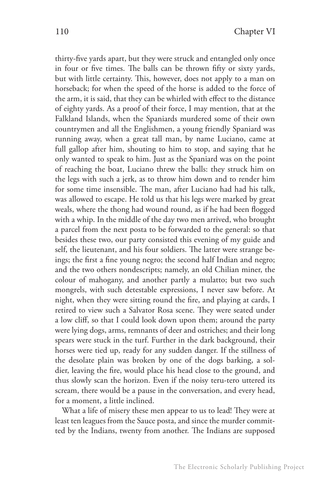thirty-five yards apart, but they were struck and entangled only once in four or five times. The balls can be thrown fifty or sixty yards, but with little certainty. This, however, does not apply to a man on horseback; for when the speed of the horse is added to the force of the arm, it is said, that they can be whirled with effect to the distance of eighty yards. As a proof of their force, I may mention, that at the Falkland Islands, when the Spaniards murdered some of their own countrymen and all the Englishmen, a young friendly Spaniard was running away, when a great tall man, by name Luciano, came at full gallop after him, shouting to him to stop, and saying that he only wanted to speak to him. Just as the Spaniard was on the point of reaching the boat, Luciano threw the balls: they struck him on the legs with such a jerk, as to throw him down and to render him for some time insensible. The man, after Luciano had had his talk, was allowed to escape. He told us that his legs were marked by great weals, where the thong had wound round, as if he had been flogged with a whip. In the middle of the day two men arrived, who brought a parcel from the next posta to be forwarded to the general: so that besides these two, our party consisted this evening of my guide and self, the lieutenant, and his four soldiers. The latter were strange beings; the first a fine young negro; the second half Indian and negro; and the two others nondescripts; namely, an old Chilian miner, the colour of mahogany, and another partly a mulatto; but two such mongrels, with such detestable expressions, I never saw before. At night, when they were sitting round the fire, and playing at cards, I retired to view such a Salvator Rosa scene. They were seated under a low cliff, so that I could look down upon them; around the party were lying dogs, arms, remnants of deer and ostriches; and their long spears were stuck in the turf. Further in the dark background, their horses were tied up, ready for any sudden danger. If the stillness of the desolate plain was broken by one of the dogs barking, a soldier, leaving the fire, would place his head close to the ground, and thus slowly scan the horizon. Even if the noisy teru-tero uttered its scream, there would be a pause in the conversation, and every head, for a moment, a little inclined.

What a life of misery these men appear to us to lead! They were at least ten leagues from the Sauce posta, and since the murder committed by the Indians, twenty from another. The Indians are supposed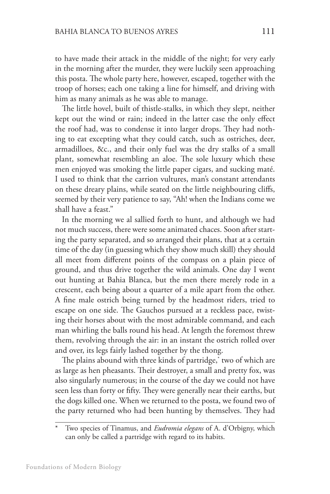to have made their attack in the middle of the night; for very early in the morning after the murder, they were luckily seen approaching this posta. The whole party here, however, escaped, together with the troop of horses; each one taking a line for himself, and driving with him as many animals as he was able to manage.

The little hovel, built of thistle-stalks, in which they slept, neither kept out the wind or rain; indeed in the latter case the only effect the roof had, was to condense it into larger drops. They had nothing to eat excepting what they could catch, such as ostriches, deer, armadilloes, &c., and their only fuel was the dry stalks of a small plant, somewhat resembling an aloe. The sole luxury which these men enjoyed was smoking the little paper cigars, and sucking maté. I used to think that the carrion vultures, man's constant attendants on these dreary plains, while seated on the little neighbouring cliffs, seemed by their very patience to say, "Ah! when the Indians come we shall have a feast."

In the morning we al sallied forth to hunt, and although we had not much success, there were some animated chaces. Soon after starting the party separated, and so arranged their plans, that at a certain time of the day (in guessing which they show much skill) they should all meet from different points of the compass on a plain piece of ground, and thus drive together the wild animals. One day I went out hunting at Bahia Blanca, but the men there merely rode in a crescent, each being about a quarter of a mile apart from the other. A fine male ostrich being turned by the headmost riders, tried to escape on one side. The Gauchos pursued at a reckless pace, twisting their horses about with the most admirable command, and each man whirling the balls round his head. At length the foremost threw them, revolving through the air: in an instant the ostrich rolled over and over, its legs fairly lashed together by the thong.

The plains abound with three kinds of partridge,\* two of which are as large as hen pheasants. Their destroyer, a small and pretty fox, was also singularly numerous; in the course of the day we could not have seen less than forty or fifty. They were generally near their earths, but the dogs killed one. When we returned to the posta, we found two of the party returned who had been hunting by themselves. They had

<sup>\*</sup> Two species of Tinamus, and *Eudromia elegans* of A. d'Orbigny, which can only be called a partridge with regard to its habits.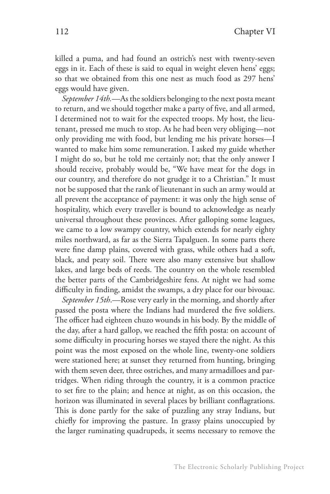killed a puma, and had found an ostrich's nest with twenty-seven eggs in it. Each of these is said to equal in weight eleven hens' eggs; so that we obtained from this one nest as much food as 297 hens' eggs would have given.

*September 14th.*—As the soldiers belonging to the next posta meant to return, and we should together make a party of five, and all armed, I determined not to wait for the expected troops. My host, the lieutenant, pressed me much to stop. As he had been very obliging—not only providing me with food, but lending me his private horses—I wanted to make him some remuneration. I asked my guide whether I might do so, but he told me certainly not; that the only answer I should receive, probably would be, "We have meat for the dogs in our country, and therefore do not grudge it to a Christian." It must not be supposed that the rank of lieutenant in such an army would at all prevent the acceptance of payment: it was only the high sense of hospitality, which every traveller is bound to acknowledge as nearly universal throughout these provinces. After galloping some leagues, we came to a low swampy country, which extends for nearly eighty miles northward, as far as the Sierra Tapalguen. In some parts there were fine damp plains, covered with grass, while others had a soft, black, and peaty soil. There were also many extensive but shallow lakes, and large beds of reeds. The country on the whole resembled the better parts of the Cambridgeshire fens. At night we had some difficulty in finding, amidst the swamps, a dry place for our bivouac.

*September 15th*.—Rose very early in the morning, and shortly after passed the posta where the Indians had murdered the five soldiers. The officer had eighteen chuzo wounds in his body. By the middle of the day, after a hard gallop, we reached the fifth posta: on account of some difficulty in procuring horses we stayed there the night. As this point was the most exposed on the whole line, twenty-one soldiers were stationed here; at sunset they returned from hunting, bringing with them seven deer, three ostriches, and many armadilloes and partridges. When riding through the country, it is a common practice to set fire to the plain; and hence at night, as on this occasion, the horizon was illuminated in several places by brilliant conflagrations. This is done partly for the sake of puzzling any stray Indians, but chiefly for improving the pasture. In grassy plains unoccupied by the larger ruminating quadrupeds, it seems necessary to remove the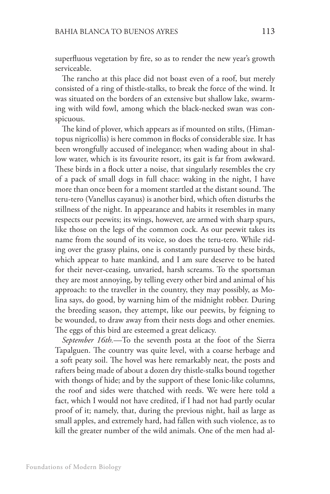superfluous vegetation by fire, so as to render the new year's growth serviceable.

The rancho at this place did not boast even of a roof, but merely consisted of a ring of thistle-stalks, to break the force of the wind. It was situated on the borders of an extensive but shallow lake, swarming with wild fowl, among which the black-necked swan was conspicuous.

The kind of plover, which appears as if mounted on stilts, (Himantopus nigricollis) is here common in flocks of considerable size. It has been wrongfully accused of inelegance; when wading about in shallow water, which is its favourite resort, its gait is far from awkward. These birds in a flock utter a noise, that singularly resembles the cry of a pack of small dogs in full chace: waking in the night, I have more than once been for a moment startled at the distant sound. The teru-tero (Vanellus cayanus) is another bird, which often disturbs the stillness of the night. In appearance and habits it resembles in many respects our peewits; its wings, however, are armed with sharp spurs, like those on the legs of the common cock. As our peewit takes its name from the sound of its voice, so does the teru-tero. While riding over the grassy plains, one is constantly pursued by these birds, which appear to hate mankind, and I am sure deserve to be hated for their never-ceasing, unvaried, harsh screams. To the sportsman they are most annoying, by telling every other bird and animal of his approach: to the traveller in the country, they may possibly, as Molina says, do good, by warning him of the midnight robber. During the breeding season, they attempt, like our peewits, by feigning to be wounded, to draw away from their nests dogs and other enemies. The eggs of this bird are esteemed a great delicacy.

*September 16th.*—To the seventh posta at the foot of the Sierra Tapalguen. The country was quite level, with a coarse herbage and a soft peaty soil. The hovel was here remarkably neat, the posts and rafters being made of about a dozen dry thistle-stalks bound together with thongs of hide; and by the support of these Ionic-like columns, the roof and sides were thatched with reeds. We were here told a fact, which I would not have credited, if I had not had partly ocular proof of it; namely, that, during the previous night, hail as large as small apples, and extremely hard, had fallen with such violence, as to kill the greater number of the wild animals. One of the men had al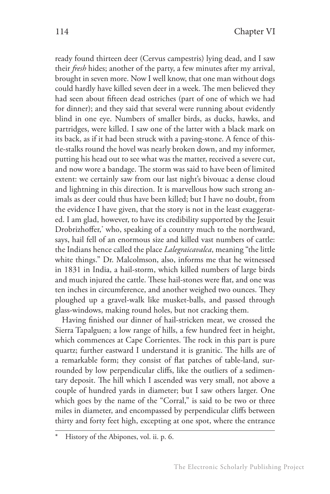ready found thirteen deer (Cervus campestris) lying dead, and I saw their *fresh* hides; another of the party, a few minutes after my arrival, brought in seven more. Now I well know, that one man without dogs could hardly have killed seven deer in a week. The men believed they had seen about fifteen dead ostriches (part of one of which we had for dinner); and they said that several were running about evidently blind in one eye. Numbers of smaller birds, as ducks, hawks, and partridges, were killed. I saw one of the latter with a black mark on its back, as if it had been struck with a paving-stone. A fence of thistle-stalks round the hovel was nearly broken down, and my informer, putting his head out to see what was the matter, received a severe cut, and now wore a bandage. The storm was said to have been of limited extent: we certainly saw from our last night's bivouac a dense cloud and lightning in this direction. It is marvellous how such strong animals as deer could thus have been killed; but I have no doubt, from the evidence I have given, that the story is not in the least exaggerated. I am glad, however, to have its credibility supported by the Jesuit Drobrizhoffer,\* who, speaking of a country much to the northward, says, hail fell of an enormous size and killed vast numbers of cattle: the Indians hence called the place *Lalegraicavalca*, meaning "the little white things." Dr. Malcolmson, also, informs me that he witnessed in 1831 in India, a hail-storm, which killed numbers of large birds and much injured the cattle. These hail-stones were flat, and one was ten inches in circumference, and another weighed two ounces. They ploughed up a gravel-walk like musket-balls, and passed through glass-windows, making round holes, but not cracking them.

Having finished our dinner of hail-stricken meat, we crossed the Sierra Tapalguen; a low range of hills, a few hundred feet in height, which commences at Cape Corrientes. The rock in this part is pure quartz; further eastward I understand it is granitic. The hills are of a remarkable form; they consist of flat patches of table-land, surrounded by low perpendicular cliffs, like the outliers of a sedimentary deposit. The hill which I ascended was very small, not above a couple of hundred yards in diameter; but I saw others larger. One which goes by the name of the "Corral," is said to be two or three miles in diameter, and encompassed by perpendicular cliffs between thirty and forty feet high, excepting at one spot, where the entrance

History of the Abipones, vol. ii. p. 6.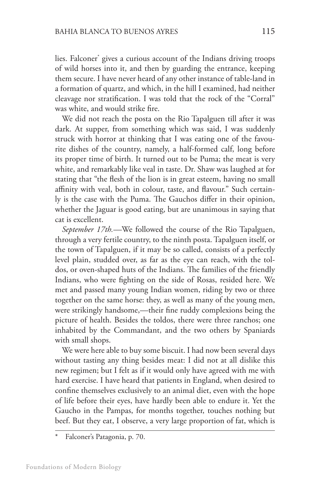lies. Falconer\* gives a curious account of the Indians driving troops of wild horses into it, and then by guarding the entrance, keeping them secure. I have never heard of any other instance of table-land in a formation of quartz, and which, in the hill I examined, had neither cleavage nor stratification. I was told that the rock of the "Corral" was white, and would strike fire.

We did not reach the posta on the Rio Tapalguen till after it was dark. At supper, from something which was said, I was suddenly struck with horror at thinking that I was eating one of the favourite dishes of the country, namely, a half-formed calf, long before its proper time of birth. It turned out to be Puma; the meat is very white, and remarkably like veal in taste. Dr. Shaw was laughed at for stating that "the flesh of the lion is in great esteem, having no small affinity with veal, both in colour, taste, and flavour." Such certainly is the case with the Puma. The Gauchos differ in their opinion, whether the Jaguar is good eating, but are unanimous in saying that cat is excellent.

*September 17th.—*We followed the course of the Rio Tapalguen, through a very fertile country, to the ninth posta. Tapalguen itself, or the town of Tapalguen, if it may be so called, consists of a perfectly level plain, studded over, as far as the eye can reach, with the toldos, or oven-shaped huts of the Indians. The families of the friendly Indians, who were fighting on the side of Rosas, resided here. We met and passed many young Indian women, riding by two or three together on the same horse: they, as well as many of the young men, were strikingly handsome,—their fine ruddy complexions being the picture of health. Besides the toldos, there were three ranchos; one inhabited by the Commandant, and the two others by Spaniards with small shops.

We were here able to buy some biscuit. I had now been several days without tasting any thing besides meat: I did not at all dislike this new regimen; but I felt as if it would only have agreed with me with hard exercise. I have heard that patients in England, when desired to confine themselves exclusively to an animal diet, even with the hope of life before their eyes, have hardly been able to endure it. Yet the Gaucho in the Pampas, for months together, touches nothing but beef. But they eat, I observe, a very large proportion of fat, which is

Falconer's Patagonia, p. 70.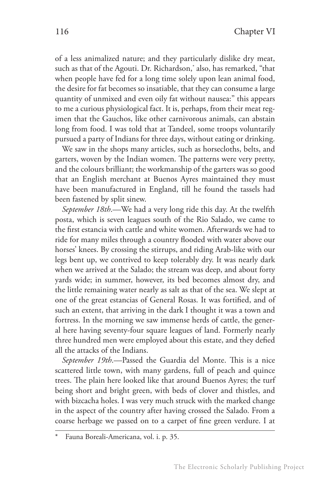of a less animalized nature; and they particularly dislike dry meat, such as that of the Agouti. Dr. Richardson,\* also, has remarked, "that when people have fed for a long time solely upon lean animal food, the desire for fat becomes so insatiable, that they can consume a large quantity of unmixed and even oily fat without nausea:" this appears to me a curious physiological fact. It is, perhaps, from their meat regimen that the Gauchos, like other carnivorous animals, can abstain long from food. I was told that at Tandeel, some troops voluntarily pursued a party of Indians for three days, without eating or drinking.

We saw in the shops many articles, such as horsecloths, belts, and garters, woven by the Indian women. The patterns were very pretty, and the colours brilliant; the workmanship of the garters was so good that an English merchant at Buenos Ayres maintained they must have been manufactured in England, till he found the tassels had been fastened by split sinew.

*September 18th*.—We had a very long ride this day. At the twelfth posta, which is seven leagues south of the Rio Salado, we came to the first estancia with cattle and white women. Afterwards we had to ride for many miles through a country flooded with water above our horses' knees. By crossing the stirrups, and riding Arab-like with our legs bent up, we contrived to keep tolerably dry. It was nearly dark when we arrived at the Salado; the stream was deep, and about forty yards wide; in summer, however, its bed becomes almost dry, and the little remaining water nearly as salt as that of the sea. We slept at one of the great estancias of General Rosas. It was fortified, and of such an extent, that arriving in the dark I thought it was a town and fortress. In the morning we saw immense herds of cattle, the general here having seventy-four square leagues of land. Formerly nearly three hundred men were employed about this estate, and they defied all the attacks of the Indians.

*September 19th*.—Passed the Guardia del Monte. This is a nice scattered little town, with many gardens, full of peach and quince trees. The plain here looked like that around Buenos Ayres; the turf being short and bright green, with beds of clover and thistles, and with bizcacha holes. I was very much struck with the marked change in the aspect of the country after having crossed the Salado. From a coarse herbage we passed on to a carpet of fine green verdure. I at

Fauna Boreali-Americana, vol. i. p. 35.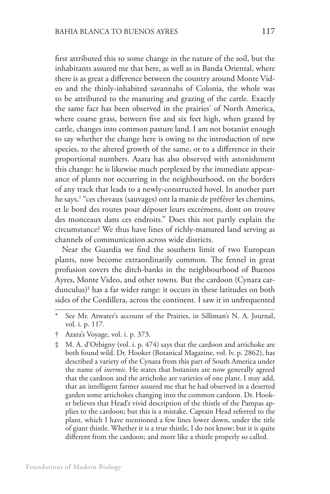first attributed this to some change in the nature of the soil, but the inhabitants assured me that here, as well as in Banda Oriental, where there is as great a difference between the country around Monte Video and the thinly-inhabited savannahs of Colonia, the whole was to be attributed to the manuring and grazing of the cattle. Exactly the same fact has been observed in the prairies\* of North America, where coarse grass, between five and six feet high, when grazed by cattle, changes into common pasture land. I am not botanist enough to say whether the change here is owing to the introduction of new species, to the altered growth of the same, or to a difference in their proportional numbers. Azara has also observed with astonishment this change: he is likewise much perplexed by the immediate appearance of plants not occurring in the neighbourhood, on the borders of any track that leads to a newly-constructed hovel. In another part he says,† "ces chevaux (sauvages) ont la manie de préférer les chemins, et le bord des routes pour déposer leurs excrémens, dont on trouve des monceaux dans ces endroits." Does this not partly explain the circumstance? We thus have lines of richly-manured land serving as channels of communication across wide districts.

Near the Guardia we find the southern limit of two European plants, now become extraordinarily common. The fennel in great profusion covers the ditch-banks in the neighbourhood of Buenos Ayres, Monte Video, and other towns. But the cardoon (Cynara cardunculus)‡ has a far wider range: it occurs in these latitudes on both sides of the Cordillera, across the continent. I saw it in unfrequented

See Mr. Atwater's account of the Prairies, in Silliman's N. A. Journal, vol. i. p. 117.

<sup>†</sup> Azara's Voyage, vol. i. p. 373.

<sup>‡</sup> M. A. d'Orbigny (vol. i. p. 474) says that the cardoon and artichoke are both found wild. Dr. Hooker (Botanical Magazine, vol. lv. p. 2862), has described a variety of the Cynara from this part of South America under the name of *inermis*. He states that botanists are now generally agreed that the cardoon and the artichoke are varieties of one plant. I may add, that an intelligent farmer assured me that he had observed in a deserted garden some artichokes changing into the common cardoon. Dr. Hooker believes that Head's vivid description of the thistle of the Pampas applies to the cardoon; but this is a mistake. Captain Head referred to the plant, which I have mentioned a few lines lower down, under the title of giant thistle. Whether it is a true thistle, I do not know; but it is quite different from the cardoon; and more like a thistle properly so called.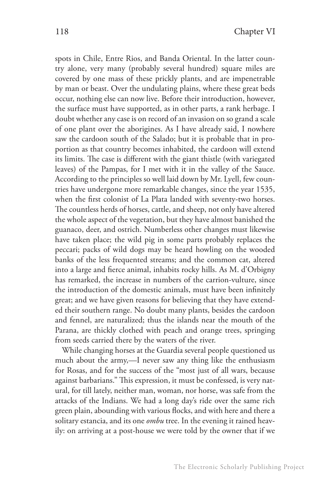spots in Chile, Entre Rios, and Banda Oriental. In the latter country alone, very many (probably several hundred) square miles are covered by one mass of these prickly plants, and are impenetrable by man or beast. Over the undulating plains, where these great beds occur, nothing else can now live. Before their introduction, however, the surface must have supported, as in other parts, a rank herbage. I doubt whether any case is on record of an invasion on so grand a scale of one plant over the aborigines. As I have already said, I nowhere saw the cardoon south of the Salado; but it is probable that in proportion as that country becomes inhabited, the cardoon will extend its limits. The case is different with the giant thistle (with variegated leaves) of the Pampas, for I met with it in the valley of the Sauce. According to the principles so well laid down by Mr. Lyell, few countries have undergone more remarkable changes, since the year 1535, when the first colonist of La Plata landed with seventy-two horses. The countless herds of horses, cattle, and sheep, not only have altered the whole aspect of the vegetation, but they have almost banished the guanaco, deer, and ostrich. Numberless other changes must likewise have taken place; the wild pig in some parts probably replaces the peccari; packs of wild dogs may be heard howling on the wooded banks of the less frequented streams; and the common cat, altered into a large and fierce animal, inhabits rocky hills. As M. d'Orbigny has remarked, the increase in numbers of the carrion-vulture, since the introduction of the domestic animals, must have been infinitely great; and we have given reasons for believing that they have extended their southern range. No doubt many plants, besides the cardoon and fennel, are naturalized; thus the islands near the mouth of the Parana, are thickly clothed with peach and orange trees, springing from seeds carried there by the waters of the river.

While changing horses at the Guardia several people questioned us much about the army,—I never saw any thing like the enthusiasm for Rosas, and for the success of the "most just of all wars, because against barbarians." This expression, it must be confessed, is very natural, for till lately, neither man, woman, nor horse, was safe from the attacks of the Indians. We had a long day's ride over the same rich green plain, abounding with various flocks, and with here and there a solitary estancia, and its one *ombu* tree. In the evening it rained heavily: on arriving at a post-house we were told by the owner that if we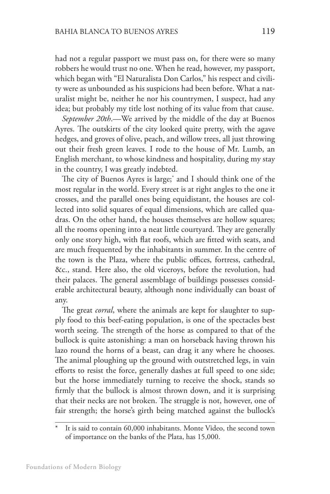had not a regular passport we must pass on, for there were so many robbers he would trust no one. When he read, however, my passport, which began with "El Naturalista Don Carlos," his respect and civility were as unbounded as his suspicions had been before. What a naturalist might be, neither he nor his countrymen, I suspect, had any idea; but probably my title lost nothing of its value from that cause.

*September 20th*.—We arrived by the middle of the day at Buenos Ayres. The outskirts of the city looked quite pretty, with the agave hedges, and groves of olive, peach, and willow trees, all just throwing out their fresh green leaves. I rode to the house of Mr. Lumb, an English merchant, to whose kindness and hospitality, during my stay in the country, I was greatly indebted.

The city of Buenos Ayres is large;\* and I should think one of the most regular in the world. Every street is at right angles to the one it crosses, and the parallel ones being equidistant, the houses are collected into solid squares of equal dimensions, which are called quadras. On the other hand, the houses themselves are hollow squares; all the rooms opening into a neat little courtyard. They are generally only one story high, with flat roofs, which are fitted with seats, and are much frequented by the inhabitants in summer. In the centre of the town is the Plaza, where the public offices, fortress, cathedral, &c., stand. Here also, the old viceroys, before the revolution, had their palaces. The general assemblage of buildings possesses considerable architectural beauty, although none individually can boast of any.

The great *corral*, where the animals are kept for slaughter to supply food to this beef-eating population, is one of the spectacles best worth seeing. The strength of the horse as compared to that of the bullock is quite astonishing: a man on horseback having thrown his lazo round the horns of a beast, can drag it any where he chooses. The animal ploughing up the ground with outstretched legs, in vain efforts to resist the force, generally dashes at full speed to one side; but the horse immediately turning to receive the shock, stands so firmly that the bullock is almost thrown down, and it is surprising that their necks are not broken. The struggle is not, however, one of fair strength; the horse's girth being matched against the bullock's

It is said to contain 60,000 inhabitants. Monte Video, the second town of importance on the banks of the Plata, has 15,000.